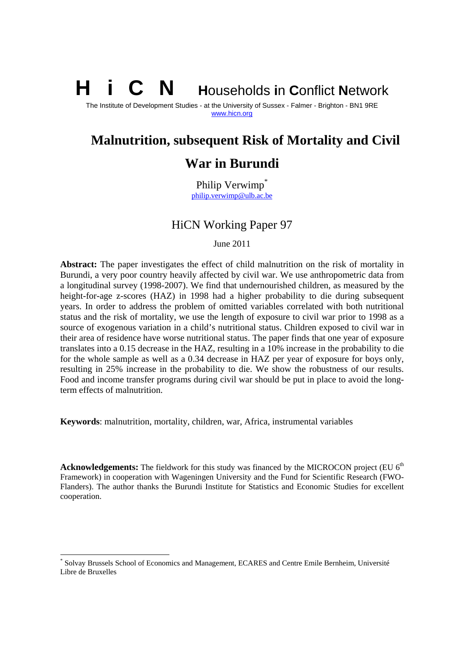**i** C **N Households in Conflict Network** 

The Institute of Development Studies - at the University of Sussex - Falmer - Brighton - BN1 9RE www.hicn.org

# **Malnutrition, subsequent Risk of Mortality and Civil**

# **War in Burundi**

Philip Verwimp<sup>\*</sup> philip.verwimp@ulb.ac.be

# HiCN Working Paper 97

June 2011

**Abstract:** The paper investigates the effect of child malnutrition on the risk of mortality in Burundi, a very poor country heavily affected by civil war. We use anthropometric data from a longitudinal survey (1998-2007). We find that undernourished children, as measured by the height-for-age z-scores (HAZ) in 1998 had a higher probability to die during subsequent years. In order to address the problem of omitted variables correlated with both nutritional status and the risk of mortality, we use the length of exposure to civil war prior to 1998 as a source of exogenous variation in a child's nutritional status. Children exposed to civil war in their area of residence have worse nutritional status. The paper finds that one year of exposure translates into a 0.15 decrease in the HAZ, resulting in a 10% increase in the probability to die for the whole sample as well as a 0.34 decrease in HAZ per year of exposure for boys only, resulting in 25% increase in the probability to die. We show the robustness of our results. Food and income transfer programs during civil war should be put in place to avoid the longterm effects of malnutrition.

**Keywords**: malnutrition, mortality, children, war, Africa, instrumental variables

**Acknowledgements:** The fieldwork for this study was financed by the MICROCON project (EU 6<sup>th</sup>) Framework) in cooperation with Wageningen University and the Fund for Scientific Research (FWO-Flanders). The author thanks the Burundi Institute for Statistics and Economic Studies for excellent cooperation.

-

<sup>\*</sup> Solvay Brussels School of Economics and Management, ECARES and Centre Emile Bernheim, Université Libre de Bruxelles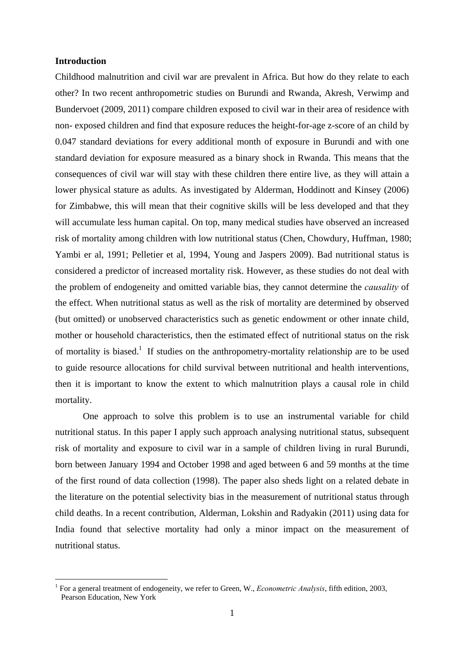## **Introduction**

1

Childhood malnutrition and civil war are prevalent in Africa. But how do they relate to each other? In two recent anthropometric studies on Burundi and Rwanda, Akresh, Verwimp and Bundervoet (2009, 2011) compare children exposed to civil war in their area of residence with non- exposed children and find that exposure reduces the height-for-age z-score of an child by 0.047 standard deviations for every additional month of exposure in Burundi and with one standard deviation for exposure measured as a binary shock in Rwanda. This means that the consequences of civil war will stay with these children there entire live, as they will attain a lower physical stature as adults. As investigated by Alderman, Hoddinott and Kinsey (2006) for Zimbabwe, this will mean that their cognitive skills will be less developed and that they will accumulate less human capital. On top, many medical studies have observed an increased risk of mortality among children with low nutritional status (Chen, Chowdury, Huffman, 1980; Yambi er al, 1991; Pelletier et al, 1994, Young and Jaspers 2009). Bad nutritional status is considered a predictor of increased mortality risk. However, as these studies do not deal with the problem of endogeneity and omitted variable bias, they cannot determine the *causality* of the effect. When nutritional status as well as the risk of mortality are determined by observed (but omitted) or unobserved characteristics such as genetic endowment or other innate child, mother or household characteristics, then the estimated effect of nutritional status on the risk of mortality is biased.<sup>1</sup> If studies on the anthropometry-mortality relationship are to be used to guide resource allocations for child survival between nutritional and health interventions, then it is important to know the extent to which malnutrition plays a causal role in child mortality.

One approach to solve this problem is to use an instrumental variable for child nutritional status. In this paper I apply such approach analysing nutritional status, subsequent risk of mortality and exposure to civil war in a sample of children living in rural Burundi, born between January 1994 and October 1998 and aged between 6 and 59 months at the time of the first round of data collection (1998). The paper also sheds light on a related debate in the literature on the potential selectivity bias in the measurement of nutritional status through child deaths. In a recent contribution, Alderman, Lokshin and Radyakin (2011) using data for India found that selective mortality had only a minor impact on the measurement of nutritional status.

<sup>&</sup>lt;sup>1</sup> For a general treatment of endogeneity, we refer to Green, W., *Econometric Analysis*, fifth edition, 2003, Pearson Education, New York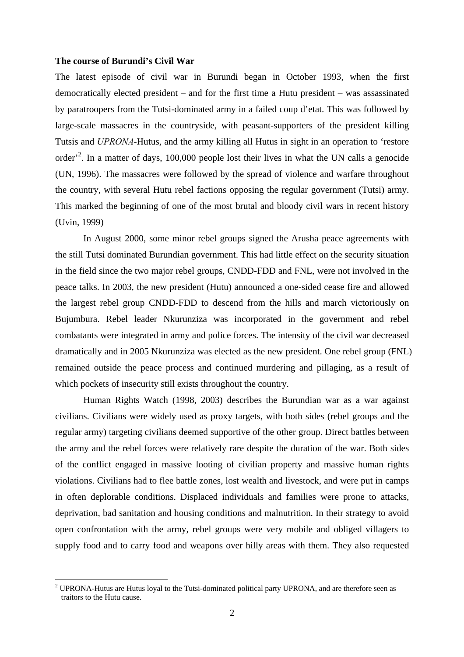#### **The course of Burundi's Civil War**

1

The latest episode of civil war in Burundi began in October 1993, when the first democratically elected president – and for the first time a Hutu president – was assassinated by paratroopers from the Tutsi-dominated army in a failed coup d'etat. This was followed by large-scale massacres in the countryside, with peasant-supporters of the president killing Tutsis and *UPRONA*-Hutus, and the army killing all Hutus in sight in an operation to 'restore order<sup>2</sup>. In a matter of days, 100,000 people lost their lives in what the UN calls a genocide (UN, 1996). The massacres were followed by the spread of violence and warfare throughout the country, with several Hutu rebel factions opposing the regular government (Tutsi) army. This marked the beginning of one of the most brutal and bloody civil wars in recent history (Uvin, 1999)

In August 2000, some minor rebel groups signed the Arusha peace agreements with the still Tutsi dominated Burundian government. This had little effect on the security situation in the field since the two major rebel groups, CNDD-FDD and FNL, were not involved in the peace talks. In 2003, the new president (Hutu) announced a one-sided cease fire and allowed the largest rebel group CNDD-FDD to descend from the hills and march victoriously on Bujumbura. Rebel leader Nkurunziza was incorporated in the government and rebel combatants were integrated in army and police forces. The intensity of the civil war decreased dramatically and in 2005 Nkurunziza was elected as the new president. One rebel group (FNL) remained outside the peace process and continued murdering and pillaging, as a result of which pockets of insecurity still exists throughout the country.

Human Rights Watch (1998, 2003) describes the Burundian war as a war against civilians. Civilians were widely used as proxy targets, with both sides (rebel groups and the regular army) targeting civilians deemed supportive of the other group. Direct battles between the army and the rebel forces were relatively rare despite the duration of the war. Both sides of the conflict engaged in massive looting of civilian property and massive human rights violations. Civilians had to flee battle zones, lost wealth and livestock, and were put in camps in often deplorable conditions. Displaced individuals and families were prone to attacks, deprivation, bad sanitation and housing conditions and malnutrition. In their strategy to avoid open confrontation with the army, rebel groups were very mobile and obliged villagers to supply food and to carry food and weapons over hilly areas with them. They also requested

<sup>&</sup>lt;sup>2</sup> UPRONA-Hutus are Hutus loyal to the Tutsi-dominated political party UPRONA, and are therefore seen as traitors to the Hutu cause.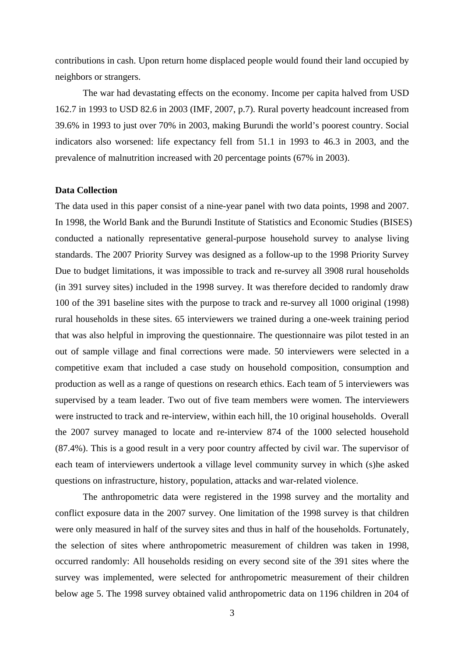contributions in cash. Upon return home displaced people would found their land occupied by neighbors or strangers.

 The war had devastating effects on the economy. Income per capita halved from USD 162.7 in 1993 to USD 82.6 in 2003 (IMF, 2007, p.7). Rural poverty headcount increased from 39.6% in 1993 to just over 70% in 2003, making Burundi the world's poorest country. Social indicators also worsened: life expectancy fell from 51.1 in 1993 to 46.3 in 2003, and the prevalence of malnutrition increased with 20 percentage points (67% in 2003).

## **Data Collection**

The data used in this paper consist of a nine-year panel with two data points, 1998 and 2007. In 1998, the World Bank and the Burundi Institute of Statistics and Economic Studies (BISES) conducted a nationally representative general-purpose household survey to analyse living standards. The 2007 Priority Survey was designed as a follow-up to the 1998 Priority Survey Due to budget limitations, it was impossible to track and re-survey all 3908 rural households (in 391 survey sites) included in the 1998 survey. It was therefore decided to randomly draw 100 of the 391 baseline sites with the purpose to track and re-survey all 1000 original (1998) rural households in these sites. 65 interviewers we trained during a one-week training period that was also helpful in improving the questionnaire. The questionnaire was pilot tested in an out of sample village and final corrections were made. 50 interviewers were selected in a competitive exam that included a case study on household composition, consumption and production as well as a range of questions on research ethics. Each team of 5 interviewers was supervised by a team leader. Two out of five team members were women. The interviewers were instructed to track and re-interview, within each hill, the 10 original households. Overall the 2007 survey managed to locate and re-interview 874 of the 1000 selected household (87.4%). This is a good result in a very poor country affected by civil war. The supervisor of each team of interviewers undertook a village level community survey in which (s)he asked questions on infrastructure, history, population, attacks and war-related violence.

 The anthropometric data were registered in the 1998 survey and the mortality and conflict exposure data in the 2007 survey. One limitation of the 1998 survey is that children were only measured in half of the survey sites and thus in half of the households. Fortunately, the selection of sites where anthropometric measurement of children was taken in 1998, occurred randomly: All households residing on every second site of the 391 sites where the survey was implemented, were selected for anthropometric measurement of their children below age 5. The 1998 survey obtained valid anthropometric data on 1196 children in 204 of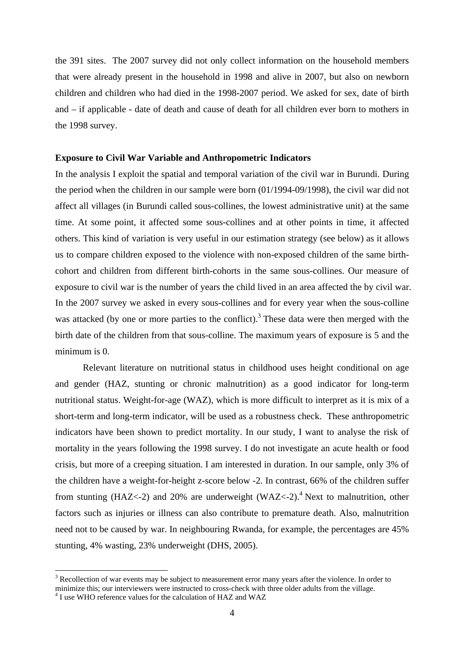the 391 sites. The 2007 survey did not only collect information on the household members that were already present in the household in 1998 and alive in 2007, but also on newborn children and children who had died in the 1998-2007 period. We asked for sex, date of birth and – if applicable - date of death and cause of death for all children ever born to mothers in the 1998 survey.

#### **Exposure to Civil War Variable and Anthropometric Indicators**

In the analysis I exploit the spatial and temporal variation of the civil war in Burundi. During the period when the children in our sample were born (01/1994-09/1998), the civil war did not affect all villages (in Burundi called sous-collines, the lowest administrative unit) at the same time. At some point, it affected some sous-collines and at other points in time, it affected others. This kind of variation is very useful in our estimation strategy (see below) as it allows us to compare children exposed to the violence with non-exposed children of the same birthcohort and children from different birth-cohorts in the same sous-collines. Our measure of exposure to civil war is the number of years the child lived in an area affected the by civil war. In the 2007 survey we asked in every sous-collines and for every year when the sous-colline was attacked (by one or more parties to the conflict).<sup>3</sup> These data were then merged with the birth date of the children from that sous-colline. The maximum years of exposure is 5 and the minimum is 0.

Relevant literature on nutritional status in childhood uses height conditional on age and gender (HAZ, stunting or chronic malnutrition) as a good indicator for long-term nutritional status. Weight-for-age (WAZ), which is more difficult to interpret as it is mix of a short-term and long-term indicator, will be used as a robustness check. These anthropometric indicators have been shown to predict mortality. In our study, I want to analyse the risk of mortality in the years following the 1998 survey. I do not investigate an acute health or food crisis, but more of a creeping situation. I am interested in duration. In our sample, only 3% of the children have a weight-for-height z-score below -2. In contrast, 66% of the children suffer from stunting (HAZ<-2) and 20% are underweight (WAZ<-2).<sup>4</sup> Next to malnutrition, other factors such as injuries or illness can also contribute to premature death. Also, malnutrition need not to be caused by war. In neighbouring Rwanda, for example, the percentages are 45% stunting, 4% wasting, 23% underweight (DHS, 2005).

1

 $3$  Recollection of war events may be subject to measurement error many years after the violence. In order to minimize this; our interviewers were instructed to cross-check with three older adults from the village. 4

<sup>&</sup>lt;sup>4</sup> I use WHO reference values for the calculation of HAZ and WAZ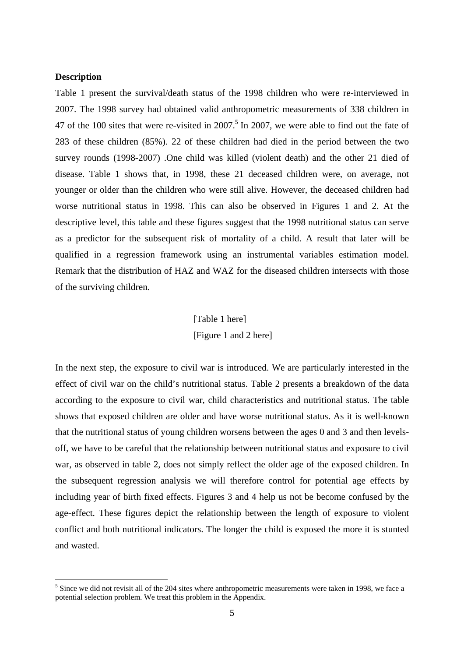# **Description**

1

Table 1 present the survival/death status of the 1998 children who were re-interviewed in 2007. The 1998 survey had obtained valid anthropometric measurements of 338 children in 47 of the 100 sites that were re-visited in  $2007$ .<sup>5</sup> In 2007, we were able to find out the fate of 283 of these children (85%). 22 of these children had died in the period between the two survey rounds (1998-2007) .One child was killed (violent death) and the other 21 died of disease. Table 1 shows that, in 1998, these 21 deceased children were, on average, not younger or older than the children who were still alive. However, the deceased children had worse nutritional status in 1998. This can also be observed in Figures 1 and 2. At the descriptive level, this table and these figures suggest that the 1998 nutritional status can serve as a predictor for the subsequent risk of mortality of a child. A result that later will be qualified in a regression framework using an instrumental variables estimation model. Remark that the distribution of HAZ and WAZ for the diseased children intersects with those of the surviving children.

# [Table 1 here] [Figure 1 and 2 here]

In the next step, the exposure to civil war is introduced. We are particularly interested in the effect of civil war on the child's nutritional status. Table 2 presents a breakdown of the data according to the exposure to civil war, child characteristics and nutritional status. The table shows that exposed children are older and have worse nutritional status. As it is well-known that the nutritional status of young children worsens between the ages 0 and 3 and then levelsoff, we have to be careful that the relationship between nutritional status and exposure to civil war, as observed in table 2, does not simply reflect the older age of the exposed children. In the subsequent regression analysis we will therefore control for potential age effects by including year of birth fixed effects. Figures 3 and 4 help us not be become confused by the age-effect. These figures depict the relationship between the length of exposure to violent conflict and both nutritional indicators. The longer the child is exposed the more it is stunted and wasted.

 $<sup>5</sup>$  Since we did not revisit all of the 204 sites where anthropometric measurements were taken in 1998, we face a</sup> potential selection problem. We treat this problem in the Appendix.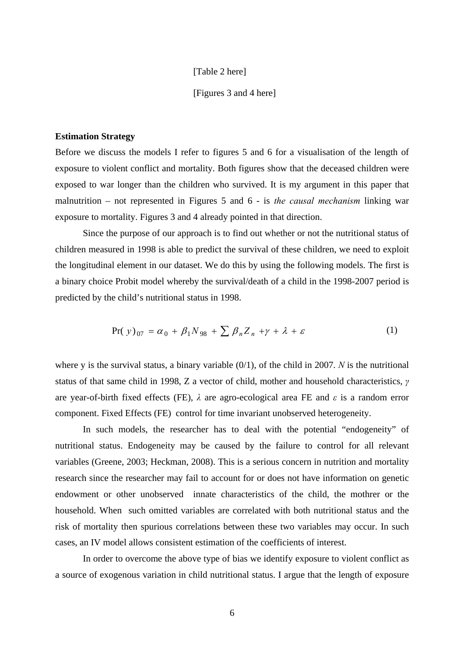### [Table 2 here]

### [Figures 3 and 4 here]

### **Estimation Strategy**

Before we discuss the models I refer to figures 5 and 6 for a visualisation of the length of exposure to violent conflict and mortality. Both figures show that the deceased children were exposed to war longer than the children who survived. It is my argument in this paper that malnutrition – not represented in Figures 5 and 6 - is *the causal mechanism* linking war exposure to mortality. Figures 3 and 4 already pointed in that direction.

Since the purpose of our approach is to find out whether or not the nutritional status of children measured in 1998 is able to predict the survival of these children, we need to exploit the longitudinal element in our dataset. We do this by using the following models. The first is a binary choice Probit model whereby the survival/death of a child in the 1998-2007 period is predicted by the child's nutritional status in 1998.

$$
Pr(y)_{07} = \alpha_0 + \beta_1 N_{98} + \sum \beta_n Z_n + \gamma + \lambda + \varepsilon
$$
 (1)

where y is the survival status, a binary variable (0/1), of the child in 2007. *N* is the nutritional status of that same child in 1998, Z a vector of child, mother and household characteristics, *γ* are year-of-birth fixed effects (FE), *λ* are agro-ecological area FE and *ε* is a random error component. Fixed Effects (FE) control for time invariant unobserved heterogeneity.

In such models, the researcher has to deal with the potential "endogeneity" of nutritional status. Endogeneity may be caused by the failure to control for all relevant variables (Greene, 2003; Heckman, 2008). This is a serious concern in nutrition and mortality research since the researcher may fail to account for or does not have information on genetic endowment or other unobserved innate characteristics of the child, the mothrer or the household. When such omitted variables are correlated with both nutritional status and the risk of mortality then spurious correlations between these two variables may occur. In such cases, an IV model allows consistent estimation of the coefficients of interest.

In order to overcome the above type of bias we identify exposure to violent conflict as a source of exogenous variation in child nutritional status. I argue that the length of exposure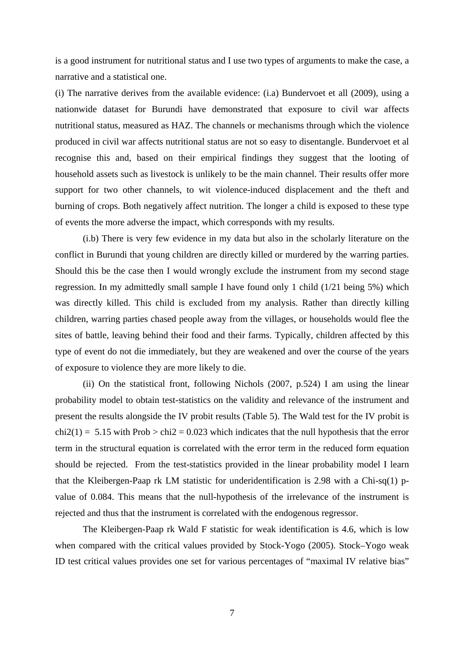is a good instrument for nutritional status and I use two types of arguments to make the case, a narrative and a statistical one.

(i) The narrative derives from the available evidence: (i.a) Bundervoet et all (2009), using a nationwide dataset for Burundi have demonstrated that exposure to civil war affects nutritional status, measured as HAZ. The channels or mechanisms through which the violence produced in civil war affects nutritional status are not so easy to disentangle. Bundervoet et al recognise this and, based on their empirical findings they suggest that the looting of household assets such as livestock is unlikely to be the main channel. Their results offer more support for two other channels, to wit violence-induced displacement and the theft and burning of crops. Both negatively affect nutrition. The longer a child is exposed to these type of events the more adverse the impact, which corresponds with my results.

(i.b) There is very few evidence in my data but also in the scholarly literature on the conflict in Burundi that young children are directly killed or murdered by the warring parties. Should this be the case then I would wrongly exclude the instrument from my second stage regression. In my admittedly small sample I have found only 1 child (1/21 being 5%) which was directly killed. This child is excluded from my analysis. Rather than directly killing children, warring parties chased people away from the villages, or households would flee the sites of battle, leaving behind their food and their farms. Typically, children affected by this type of event do not die immediately, but they are weakened and over the course of the years of exposure to violence they are more likely to die.

(ii) On the statistical front, following Nichols (2007, p.524) I am using the linear probability model to obtain test-statistics on the validity and relevance of the instrument and present the results alongside the IV probit results (Table 5). The Wald test for the IV probit is  $chi2(1) = 5.15$  with Prob  $>$  chi2 = 0.023 which indicates that the null hypothesis that the error term in the structural equation is correlated with the error term in the reduced form equation should be rejected. From the test-statistics provided in the linear probability model I learn that the Kleibergen-Paap rk LM statistic for underidentification is 2.98 with a Chi-sq(1) pvalue of 0.084. This means that the null-hypothesis of the irrelevance of the instrument is rejected and thus that the instrument is correlated with the endogenous regressor.

The Kleibergen-Paap rk Wald F statistic for weak identification is 4.6, which is low when compared with the critical values provided by Stock-Yogo (2005). Stock–Yogo weak ID test critical values provides one set for various percentages of "maximal IV relative bias"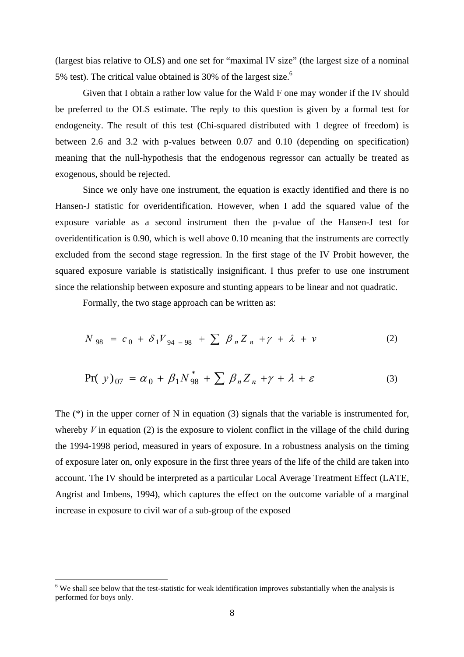(largest bias relative to OLS) and one set for "maximal IV size" (the largest size of a nominal 5% test). The critical value obtained is 30% of the largest size.<sup>6</sup>

Given that I obtain a rather low value for the Wald F one may wonder if the IV should be preferred to the OLS estimate. The reply to this question is given by a formal test for endogeneity. The result of this test (Chi-squared distributed with 1 degree of freedom) is between 2.6 and 3.2 with p-values between 0.07 and 0.10 (depending on specification) meaning that the null-hypothesis that the endogenous regressor can actually be treated as exogenous, should be rejected.

Since we only have one instrument, the equation is exactly identified and there is no Hansen-J statistic for overidentification. However, when I add the squared value of the exposure variable as a second instrument then the p-value of the Hansen-J test for overidentification is 0.90, which is well above 0.10 meaning that the instruments are correctly excluded from the second stage regression. In the first stage of the IV Probit however, the squared exposure variable is statistically insignificant. I thus prefer to use one instrument since the relationship between exposure and stunting appears to be linear and not quadratic.

Formally, the two stage approach can be written as:

$$
N_{98} = c_0 + \delta_1 V_{94-98} + \sum \beta_n Z_n + \gamma + \lambda + \nu \tag{2}
$$

$$
Pr(\mathbf{y})_{07} = \alpha_0 + \beta_1 N_{98}^* + \sum \beta_n Z_n + \gamma + \lambda + \varepsilon \tag{3}
$$

The (\*) in the upper corner of N in equation (3) signals that the variable is instrumented for, whereby  $V$  in equation (2) is the exposure to violent conflict in the village of the child during the 1994-1998 period, measured in years of exposure. In a robustness analysis on the timing of exposure later on, only exposure in the first three years of the life of the child are taken into account. The IV should be interpreted as a particular Local Average Treatment Effect (LATE, Angrist and Imbens, 1994), which captures the effect on the outcome variable of a marginal increase in exposure to civil war of a sub-group of the exposed

1

<sup>&</sup>lt;sup>6</sup> We shall see below that the test-statistic for weak identification improves substantially when the analysis is performed for boys only.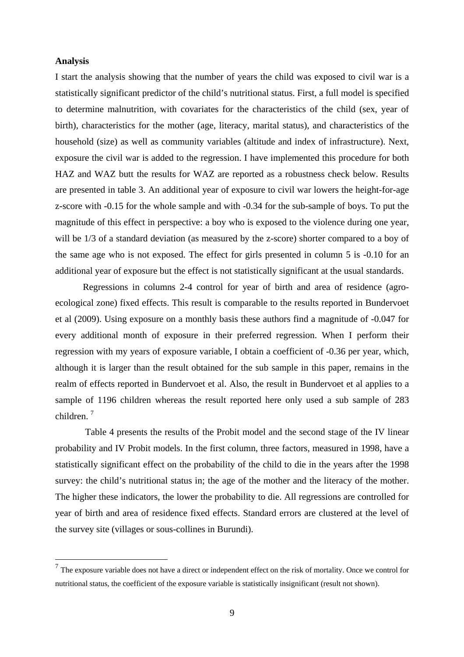# **Analysis**

1

I start the analysis showing that the number of years the child was exposed to civil war is a statistically significant predictor of the child's nutritional status. First, a full model is specified to determine malnutrition, with covariates for the characteristics of the child (sex, year of birth), characteristics for the mother (age, literacy, marital status), and characteristics of the household (size) as well as community variables (altitude and index of infrastructure). Next, exposure the civil war is added to the regression. I have implemented this procedure for both HAZ and WAZ butt the results for WAZ are reported as a robustness check below. Results are presented in table 3. An additional year of exposure to civil war lowers the height-for-age z-score with -0.15 for the whole sample and with -0.34 for the sub-sample of boys. To put the magnitude of this effect in perspective: a boy who is exposed to the violence during one year, will be  $1/3$  of a standard deviation (as measured by the z-score) shorter compared to a boy of the same age who is not exposed. The effect for girls presented in column 5 is -0.10 for an additional year of exposure but the effect is not statistically significant at the usual standards.

Regressions in columns 2-4 control for year of birth and area of residence (agroecological zone) fixed effects. This result is comparable to the results reported in Bundervoet et al (2009). Using exposure on a monthly basis these authors find a magnitude of -0.047 for every additional month of exposure in their preferred regression. When I perform their regression with my years of exposure variable, I obtain a coefficient of -0.36 per year, which, although it is larger than the result obtained for the sub sample in this paper, remains in the realm of effects reported in Bundervoet et al. Also, the result in Bundervoet et al applies to a sample of 1196 children whereas the result reported here only used a sub sample of 283 children.<sup>7</sup>

 Table 4 presents the results of the Probit model and the second stage of the IV linear probability and IV Probit models. In the first column, three factors, measured in 1998, have a statistically significant effect on the probability of the child to die in the years after the 1998 survey: the child's nutritional status in; the age of the mother and the literacy of the mother. The higher these indicators, the lower the probability to die. All regressions are controlled for year of birth and area of residence fixed effects. Standard errors are clustered at the level of the survey site (villages or sous-collines in Burundi).

 $<sup>7</sup>$  The exposure variable does not have a direct or independent effect on the risk of mortality. Once we control for</sup> nutritional status, the coefficient of the exposure variable is statistically insignificant (result not shown).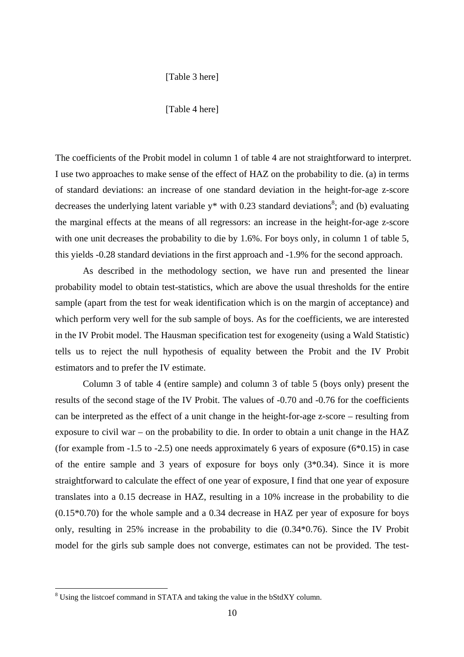# [Table 3 here]

#### [Table 4 here]

The coefficients of the Probit model in column 1 of table 4 are not straightforward to interpret. I use two approaches to make sense of the effect of HAZ on the probability to die. (a) in terms of standard deviations: an increase of one standard deviation in the height-for-age z-score decreases the underlying latent variable  $y^*$  with 0.23 standard deviations<sup>8</sup>; and (b) evaluating the marginal effects at the means of all regressors: an increase in the height-for-age z-score with one unit decreases the probability to die by 1.6%. For boys only, in column 1 of table 5, this yields -0.28 standard deviations in the first approach and -1.9% for the second approach.

 As described in the methodology section, we have run and presented the linear probability model to obtain test-statistics, which are above the usual thresholds for the entire sample (apart from the test for weak identification which is on the margin of acceptance) and which perform very well for the sub sample of boys. As for the coefficients, we are interested in the IV Probit model. The Hausman specification test for exogeneity (using a Wald Statistic) tells us to reject the null hypothesis of equality between the Probit and the IV Probit estimators and to prefer the IV estimate.

 Column 3 of table 4 (entire sample) and column 3 of table 5 (boys only) present the results of the second stage of the IV Probit. The values of -0.70 and -0.76 for the coefficients can be interpreted as the effect of a unit change in the height-for-age z-score – resulting from exposure to civil war – on the probability to die. In order to obtain a unit change in the HAZ (for example from  $-1.5$  to  $-2.5$ ) one needs approximately 6 years of exposure (6 $*0.15$ ) in case of the entire sample and 3 years of exposure for boys only (3\*0.34). Since it is more straightforward to calculate the effect of one year of exposure, I find that one year of exposure translates into a 0.15 decrease in HAZ, resulting in a 10% increase in the probability to die (0.15\*0.70) for the whole sample and a 0.34 decrease in HAZ per year of exposure for boys only, resulting in 25% increase in the probability to die (0.34\*0.76). Since the IV Probit model for the girls sub sample does not converge, estimates can not be provided. The test-

1

<sup>&</sup>lt;sup>8</sup> Using the listcoef command in STATA and taking the value in the bStdXY column.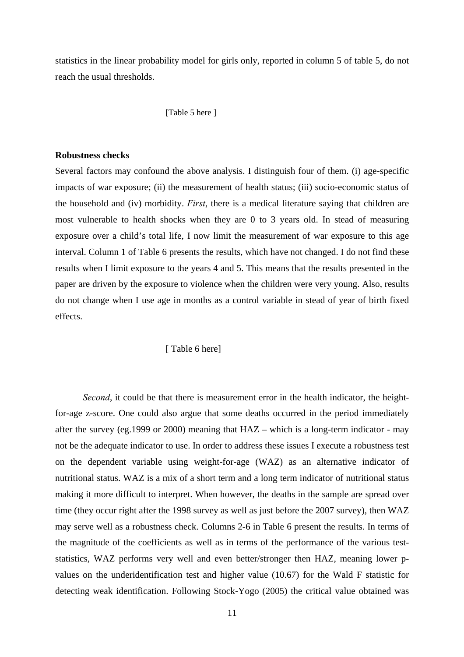statistics in the linear probability model for girls only, reported in column 5 of table 5, do not reach the usual thresholds.

#### [Table 5 here ]

# **Robustness checks**

Several factors may confound the above analysis. I distinguish four of them. (i) age-specific impacts of war exposure; (ii) the measurement of health status; (iii) socio-economic status of the household and (iv) morbidity. *First*, there is a medical literature saying that children are most vulnerable to health shocks when they are 0 to 3 years old. In stead of measuring exposure over a child's total life, I now limit the measurement of war exposure to this age interval. Column 1 of Table 6 presents the results, which have not changed. I do not find these results when I limit exposure to the years 4 and 5. This means that the results presented in the paper are driven by the exposure to violence when the children were very young. Also, results do not change when I use age in months as a control variable in stead of year of birth fixed effects.

#### [ Table 6 here]

*Second*, it could be that there is measurement error in the health indicator, the heightfor-age z-score. One could also argue that some deaths occurred in the period immediately after the survey (eg.1999 or 2000) meaning that HAZ – which is a long-term indicator - may not be the adequate indicator to use. In order to address these issues I execute a robustness test on the dependent variable using weight-for-age (WAZ) as an alternative indicator of nutritional status. WAZ is a mix of a short term and a long term indicator of nutritional status making it more difficult to interpret. When however, the deaths in the sample are spread over time (they occur right after the 1998 survey as well as just before the 2007 survey), then WAZ may serve well as a robustness check. Columns 2-6 in Table 6 present the results. In terms of the magnitude of the coefficients as well as in terms of the performance of the various teststatistics, WAZ performs very well and even better/stronger then HAZ, meaning lower pvalues on the underidentification test and higher value (10.67) for the Wald F statistic for detecting weak identification. Following Stock-Yogo (2005) the critical value obtained was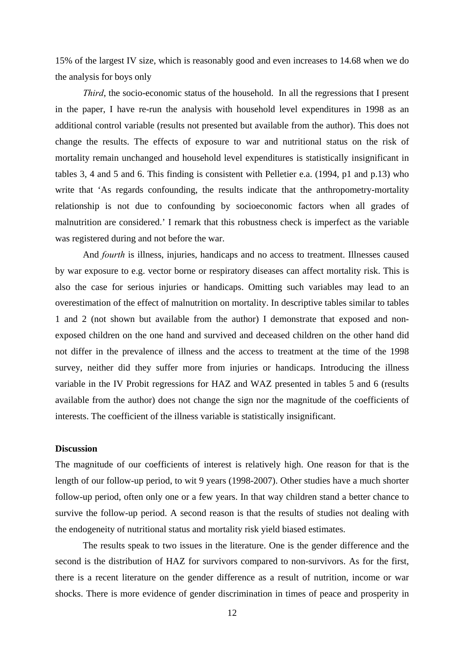15% of the largest IV size, which is reasonably good and even increases to 14.68 when we do the analysis for boys only

*Third*, the socio-economic status of the household. In all the regressions that I present in the paper, I have re-run the analysis with household level expenditures in 1998 as an additional control variable (results not presented but available from the author). This does not change the results. The effects of exposure to war and nutritional status on the risk of mortality remain unchanged and household level expenditures is statistically insignificant in tables 3, 4 and 5 and 6. This finding is consistent with Pelletier e.a. (1994, p1 and p.13) who write that 'As regards confounding, the results indicate that the anthropometry-mortality relationship is not due to confounding by socioeconomic factors when all grades of malnutrition are considered.' I remark that this robustness check is imperfect as the variable was registered during and not before the war.

And *fourth* is illness, injuries, handicaps and no access to treatment. Illnesses caused by war exposure to e.g. vector borne or respiratory diseases can affect mortality risk. This is also the case for serious injuries or handicaps. Omitting such variables may lead to an overestimation of the effect of malnutrition on mortality. In descriptive tables similar to tables 1 and 2 (not shown but available from the author) I demonstrate that exposed and nonexposed children on the one hand and survived and deceased children on the other hand did not differ in the prevalence of illness and the access to treatment at the time of the 1998 survey, neither did they suffer more from injuries or handicaps. Introducing the illness variable in the IV Probit regressions for HAZ and WAZ presented in tables 5 and 6 (results available from the author) does not change the sign nor the magnitude of the coefficients of interests. The coefficient of the illness variable is statistically insignificant.

### **Discussion**

The magnitude of our coefficients of interest is relatively high. One reason for that is the length of our follow-up period, to wit 9 years (1998-2007). Other studies have a much shorter follow-up period, often only one or a few years. In that way children stand a better chance to survive the follow-up period. A second reason is that the results of studies not dealing with the endogeneity of nutritional status and mortality risk yield biased estimates.

 The results speak to two issues in the literature. One is the gender difference and the second is the distribution of HAZ for survivors compared to non-survivors. As for the first, there is a recent literature on the gender difference as a result of nutrition, income or war shocks. There is more evidence of gender discrimination in times of peace and prosperity in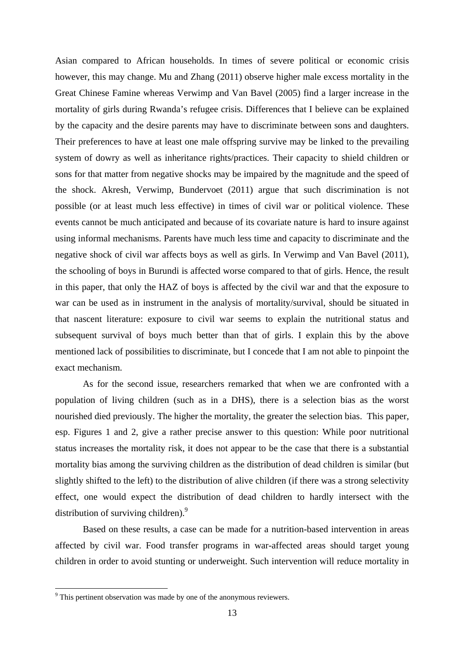Asian compared to African households. In times of severe political or economic crisis however, this may change. Mu and Zhang (2011) observe higher male excess mortality in the Great Chinese Famine whereas Verwimp and Van Bavel (2005) find a larger increase in the mortality of girls during Rwanda's refugee crisis. Differences that I believe can be explained by the capacity and the desire parents may have to discriminate between sons and daughters. Their preferences to have at least one male offspring survive may be linked to the prevailing system of dowry as well as inheritance rights/practices. Their capacity to shield children or sons for that matter from negative shocks may be impaired by the magnitude and the speed of the shock. Akresh, Verwimp, Bundervoet (2011) argue that such discrimination is not possible (or at least much less effective) in times of civil war or political violence. These events cannot be much anticipated and because of its covariate nature is hard to insure against using informal mechanisms. Parents have much less time and capacity to discriminate and the negative shock of civil war affects boys as well as girls. In Verwimp and Van Bavel (2011), the schooling of boys in Burundi is affected worse compared to that of girls. Hence, the result in this paper, that only the HAZ of boys is affected by the civil war and that the exposure to war can be used as in instrument in the analysis of mortality/survival, should be situated in that nascent literature: exposure to civil war seems to explain the nutritional status and subsequent survival of boys much better than that of girls. I explain this by the above mentioned lack of possibilities to discriminate, but I concede that I am not able to pinpoint the exact mechanism.

As for the second issue, researchers remarked that when we are confronted with a population of living children (such as in a DHS), there is a selection bias as the worst nourished died previously. The higher the mortality, the greater the selection bias. This paper, esp. Figures 1 and 2, give a rather precise answer to this question: While poor nutritional status increases the mortality risk, it does not appear to be the case that there is a substantial mortality bias among the surviving children as the distribution of dead children is similar (but slightly shifted to the left) to the distribution of alive children (if there was a strong selectivity effect, one would expect the distribution of dead children to hardly intersect with the distribution of surviving children).<sup>9</sup>

Based on these results, a case can be made for a nutrition-based intervention in areas affected by civil war. Food transfer programs in war-affected areas should target young children in order to avoid stunting or underweight. Such intervention will reduce mortality in

1

 $9$ <sup>9</sup> This pertinent observation was made by one of the anonymous reviewers.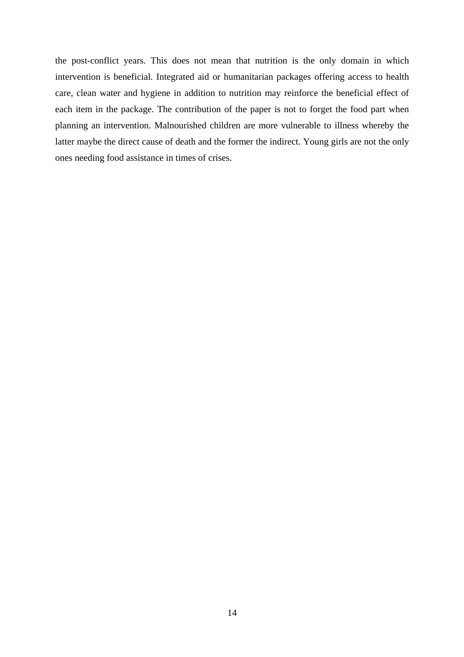the post-conflict years. This does not mean that nutrition is the only domain in which intervention is beneficial. Integrated aid or humanitarian packages offering access to health care, clean water and hygiene in addition to nutrition may reinforce the beneficial effect of each item in the package. The contribution of the paper is not to forget the food part when planning an intervention. Malnourished children are more vulnerable to illness whereby the latter maybe the direct cause of death and the former the indirect. Young girls are not the only ones needing food assistance in times of crises.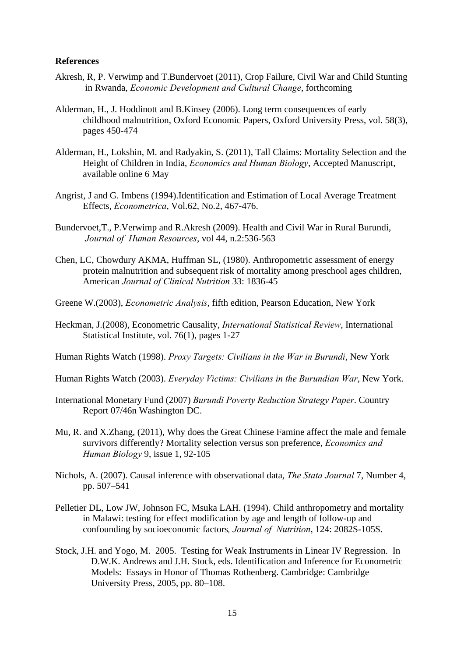## **References**

- Akresh, R, P. Verwimp and T.Bundervoet (2011), Crop Failure, Civil War and Child Stunting in Rwanda, *Economic Development and Cultural Change*, forthcoming
- Alderman, H., J. Hoddinott and B.Kinsey (2006). Long term consequences of early childhood malnutrition, Oxford Economic Papers, Oxford University Press, vol. 58(3), pages 450-474
- Alderman, H., Lokshin, M. and Radyakin, S. (2011), Tall Claims: Mortality Selection and the Height of Children in India, *Economics and Human Biology*, Accepted Manuscript, available online 6 May
- Angrist, J and G. Imbens (1994).Identification and Estimation of Local Average Treatment Effects, *Econometrica*, Vol.62, No.2, 467-476.
- Bundervoet,T., P.Verwimp and R.Akresh (2009). Health and Civil War in Rural Burundi, *Journal of Human Resources*, vol 44, n.2:536-563
- Chen, LC, Chowdury AKMA, Huffman SL, (1980). Anthropometric assessment of energy protein malnutrition and subsequent risk of mortality among preschool ages children, American *Journal of Clinical Nutrition* 33: 1836-45
- Greene W.(2003), *Econometric Analysis*, fifth edition, Pearson Education, New York
- Heckm an, J.(2008), Econometric Causality, *International Statistical Review*, International Statistical Institute, vol. 76(1), pages 1-27
- Human Rights Watch (1998). *Proxy Targets: Civilians in the War in Burundi*, New York
- Human Rights Watch (2003). *Everyday Victims: Civilians in the Burundian War*, New York.
- International Monetary Fund (2007) *Burundi Poverty Reduction Strategy Paper*. Country Report 07/46n Washington DC.
- Mu, R. and X.Zhang, (2011), Why does the Great Chinese Famine affect the male and female survivors differently? Mortality selection versus son preference, *Economics and Human Biology* 9, issue 1, 92-105
- Nichols, A. (2007). Causal inference with observational data, *The Stata Journal* 7, Number 4, pp. 507–541
- Pelletier DL, Low JW, Johnson FC, Msuka LAH. (1994). Child anthropometry and mortality in Malawi: testing for effect modification by age and length of follow-up and confounding by socioeconomic factors*, Journal of Nutrition*, 124: 2082S-105S.
- Stock, J.H. and Yogo, M. 2005. Testing for Weak Instruments in Linear IV Regression. In D.W.K. Andrews and J.H. Stock, eds. Identification and Inference for Econometric Models: Essays in Honor of Thomas Rothenberg. Cambridge: Cambridge University Press, 2005, pp. 80–108.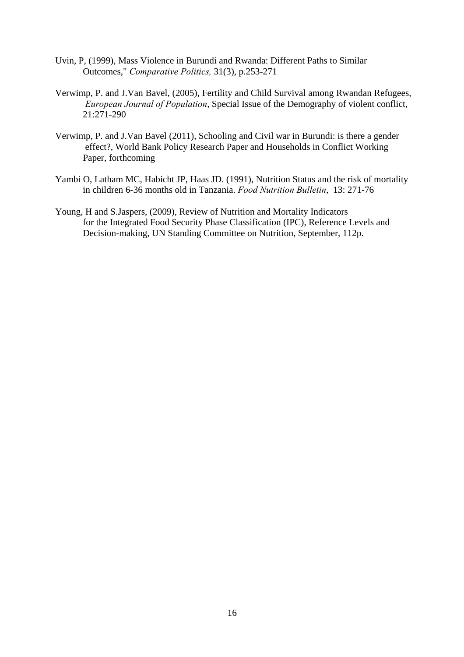- Uvin, P, (1999), Mass Violence in Burundi and Rwanda: Different Paths to Similar Outcomes," *Comparative Politics,* 31(3), p.253-271
- Verwimp, P. and J.Van Bavel, (2005), Fertility and Child Survival among Rwandan Refugees, *European Journal of Population*, Special Issue of the Demography of violent conflict, 21:271-290
- Verwimp, P. and J.Van Bavel (2011), Schooling and Civil war in Burundi: is there a gender effect?, World Bank Policy Research Paper and Households in Conflict Working Paper, forthcoming
- Yambi O, Latham MC, Habicht JP, Haas JD. (1991), Nutrition Status and the risk of mortality in children 6-36 months old in Tanzania. *Food Nutrition Bulletin*, 13: 271-76
- Young, H and S.Jaspers, (2009), Review of Nutrition and Mortality Indicators for the Integrated Food Security Phase Classification (IPC), Reference Levels and Decision-making, UN Standing Committee on Nutrition, September, 112p.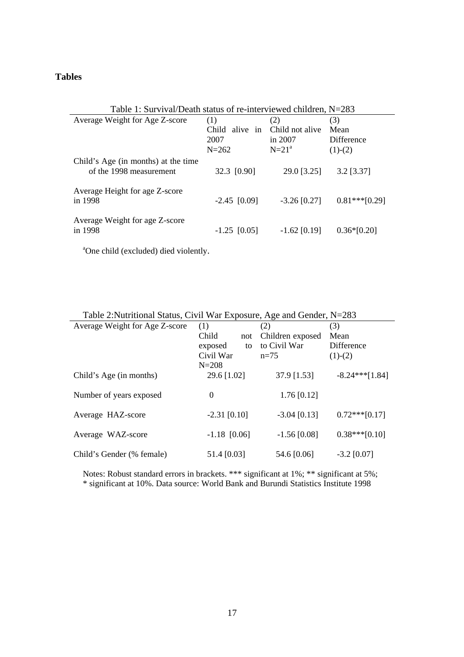# **Tables**

| Table 1: Survival/Death status of re-interviewed children, N=283 |                                |                |                  |  |  |
|------------------------------------------------------------------|--------------------------------|----------------|------------------|--|--|
| Average Weight for Age Z-score                                   | (1)                            | (2)            | (3)              |  |  |
|                                                                  | Child alive in Child not alive |                | Mean             |  |  |
|                                                                  | 2007                           | in 2007        | Difference       |  |  |
|                                                                  | $N = 262$                      | $N=21a$        | $(1)-(2)$        |  |  |
| Child's Age (in months) at the time                              |                                |                |                  |  |  |
| of the 1998 measurement                                          | 32.3 [0.90]                    | 29.0 [3.25]    | $3.2$ [ $3.37$ ] |  |  |
|                                                                  |                                |                |                  |  |  |
| Average Height for age Z-score                                   |                                |                |                  |  |  |
| in 1998                                                          | $-2.45$ [0.09]                 | $-3.26$ [0.27] | $0.81***$ [0.29] |  |  |
| Average Weight for age Z-score                                   |                                |                |                  |  |  |
| in 1998                                                          | $-1.25$ [0.05]                 | $-1.62$ [0.19] | $0.36*[0.20]$    |  |  |
|                                                                  |                                |                |                  |  |  |

a One child (excluded) died violently.

| Table 2: Nutritional Status, Civil War Exposure, Age and Gender, N=283 |  |
|------------------------------------------------------------------------|--|
|------------------------------------------------------------------------|--|

| Table 2.INdifficular Status, Crvil Wal Exposure, Age and Octider, $N-20J$ |                  |                  |                  |  |  |
|---------------------------------------------------------------------------|------------------|------------------|------------------|--|--|
| Average Weight for Age Z-score                                            | (1)              | (2)              | (3)              |  |  |
|                                                                           | Child<br>not     | Children exposed | Mean             |  |  |
|                                                                           | exposed<br>to    | to Civil War     | Difference       |  |  |
|                                                                           | Civil War        | $n=75$           | $(1)-(2)$        |  |  |
|                                                                           | $N = 208$        |                  |                  |  |  |
| Child's Age (in months)                                                   | 29.6 [1.02]      | 37.9 [1.53]      | $-8.24***[1.84]$ |  |  |
|                                                                           |                  |                  |                  |  |  |
| Number of years exposed                                                   | $\boldsymbol{0}$ | $1.76$ [0.12]    |                  |  |  |
|                                                                           |                  |                  |                  |  |  |
| Average HAZ-score                                                         | $-2.31$ [0.10]   | $-3.04$ [0.13]   | $0.72***[0.17]$  |  |  |
|                                                                           |                  |                  |                  |  |  |
| Average WAZ-score                                                         | $-1.18$ [0.06]   | $-1.56$ [0.08]   | $0.38***[0.10]$  |  |  |
|                                                                           |                  |                  |                  |  |  |
| Child's Gender (% female)                                                 | 51.4 [0.03]      | 54.6 [0.06]      | $-3.2$ [0.07]    |  |  |

Notes: Robust standard errors in brackets. \*\*\* significant at 1%; \*\* significant at 5%; \* significant at 10%. Data source: World Bank and Burundi Statistics Institute 1998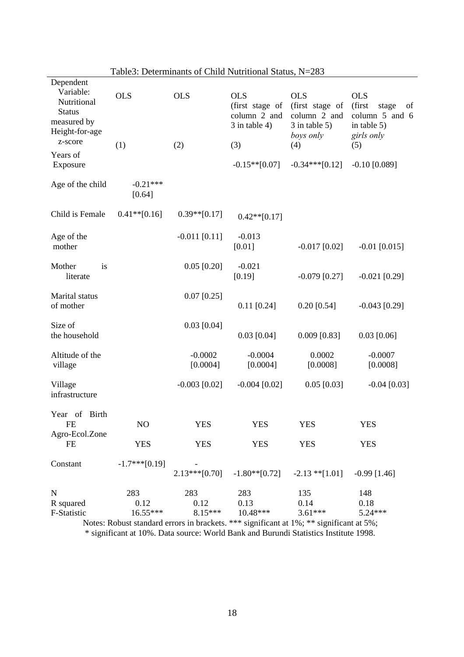| Dependent<br>Variable:<br>Nutritional<br><b>Status</b><br>measured by<br>Height-for-age<br>z-score<br>Years of<br>Exposure | <b>OLS</b><br>(1)         | <b>OLS</b><br>(2)        | <b>OLS</b><br>(first stage of<br>column 2 and<br>$3$ in table 4)<br>(3)<br>$-0.15**$ [0.07] | <b>OLS</b><br>(first stage of<br>column 2 and<br>$3$ in table $5$ )<br>boys only<br>(4)<br>$-0.34***[0.12]$                  | <b>OLS</b><br>(first<br>stage<br>of<br>column 5 and 6<br>in table 5)<br>girls only<br>(5)<br>$-0.10$ [0.089] |
|----------------------------------------------------------------------------------------------------------------------------|---------------------------|--------------------------|---------------------------------------------------------------------------------------------|------------------------------------------------------------------------------------------------------------------------------|--------------------------------------------------------------------------------------------------------------|
| Age of the child                                                                                                           | $-0.21***$<br>[0.64]      |                          |                                                                                             |                                                                                                                              |                                                                                                              |
| Child is Female                                                                                                            | $0.41**$ [0.16]           | $0.39**[0.17]$           | $0.42**[0.17]$                                                                              |                                                                                                                              |                                                                                                              |
| Age of the<br>mother                                                                                                       |                           | $-0.011$ [0.11]          | $-0.013$<br>[0.01]                                                                          | $-0.017$ [0.02]                                                                                                              | $-0.01$ [0.015]                                                                                              |
| Mother<br>is<br>literate                                                                                                   |                           | $0.05$ [0.20]            | $-0.021$<br>[0.19]                                                                          | $-0.079$ [0.27]                                                                                                              | $-0.021$ [0.29]                                                                                              |
| Marital status<br>of mother                                                                                                |                           | $0.07$ [0.25]            | $0.11$ [0.24]                                                                               | $0.20$ [0.54]                                                                                                                | $-0.043$ [0.29]                                                                                              |
| Size of<br>the household                                                                                                   |                           | $0.03$ [0.04]            | $0.03$ [0.04]                                                                               | $0.009$ [0.83]                                                                                                               | $0.03$ [0.06]                                                                                                |
| Altitude of the<br>village                                                                                                 |                           | $-0.0002$<br>[0.0004]    | $-0.0004$<br>[0.0004]                                                                       | 0.0002<br>[0.0008]                                                                                                           | $-0.0007$<br>[0.0008]                                                                                        |
| Village<br>infrastructure                                                                                                  |                           | $-0.003$ [0.02]          | $-0.004$ [0.02]                                                                             | $0.05$ [0.03]                                                                                                                | $-0.04$ [0.03]                                                                                               |
| Year of<br>Birth<br><b>FE</b>                                                                                              | NO                        | <b>YES</b>               | <b>YES</b>                                                                                  | <b>YES</b>                                                                                                                   | <b>YES</b>                                                                                                   |
| Agro-Ecol.Zone<br>FE                                                                                                       | <b>YES</b>                | <b>YES</b>               | <b>YES</b>                                                                                  | <b>YES</b>                                                                                                                   | <b>YES</b>                                                                                                   |
| Constant                                                                                                                   | $-1.7***[0.19]$           | $2.13***[0.70]$          | $-1.80**$ [0.72]                                                                            | $-2.13$ ** $[1.01]$                                                                                                          | $-0.99$ [1.46]                                                                                               |
| N<br>R squared<br>F-Statistic                                                                                              | 283<br>0.12<br>$16.55***$ | 283<br>0.12<br>$8.15***$ | 283<br>0.13<br>$10.48***$                                                                   | 135<br>0.14<br>$3.61***$<br>Notes: Robust standard errors in brackets $***$ significant at $1\%$ : ** significant at $5\%$ : | 148<br>0.18<br>$5.24***$                                                                                     |

Table3: Determinants of Child Nutritional Status, N=283

Notes: Robust standard errors in brackets. \*\*\* significant at 1%; \*\* significant at 5%; \* significant at 10%. Data source: World Bank and Burundi Statistics Institute 1998.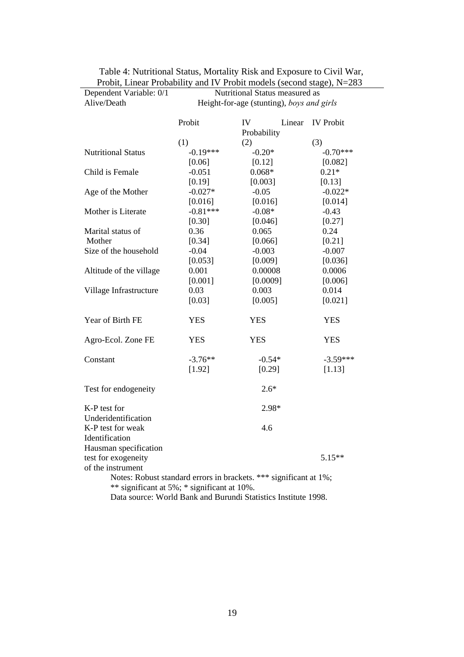| Alive/Death                                                    | Height-for-age (stunting), boys and girls                                                                        |                    |        |                  |  |  |
|----------------------------------------------------------------|------------------------------------------------------------------------------------------------------------------|--------------------|--------|------------------|--|--|
|                                                                | Probit                                                                                                           | IV                 | Linear | <b>IV</b> Probit |  |  |
|                                                                | (1)                                                                                                              | Probability<br>(2) |        | (3)              |  |  |
| <b>Nutritional Status</b>                                      | $-0.19***$                                                                                                       | $-0.20*$           |        | $-0.70***$       |  |  |
|                                                                | [0.06]                                                                                                           | [0.12]             |        | [0.082]          |  |  |
| Child is Female                                                | $-0.051$                                                                                                         | $0.068*$           |        | $0.21*$          |  |  |
|                                                                | [0.19]                                                                                                           | [0.003]            |        | [0.13]           |  |  |
| Age of the Mother                                              | $-0.027*$                                                                                                        | $-0.05$            |        | $-0.022*$        |  |  |
|                                                                | [0.016]                                                                                                          | [0.016]            |        | [0.014]          |  |  |
| Mother is Literate                                             | $-0.81***$                                                                                                       | $-0.08*$           |        | $-0.43$          |  |  |
|                                                                | [0.30]                                                                                                           | [0.046]            |        | [0.27]           |  |  |
| Marital status of                                              | 0.36                                                                                                             | 0.065              |        | 0.24             |  |  |
| Mother                                                         | [0.34]                                                                                                           | [0.066]            |        | [0.21]           |  |  |
| Size of the household                                          | $-0.04$                                                                                                          | $-0.003$           |        | $-0.007$         |  |  |
|                                                                | [0.053]                                                                                                          | [0.009]            |        | [0.036]          |  |  |
| Altitude of the village                                        | 0.001                                                                                                            | 0.00008            |        | 0.0006           |  |  |
|                                                                | [0.001]                                                                                                          | [0.0009]           |        | [0.006]          |  |  |
| Village Infrastructure                                         | 0.03                                                                                                             | 0.003              |        | 0.014            |  |  |
|                                                                | [0.03]                                                                                                           | [0.005]            |        | [0.021]          |  |  |
| Year of Birth FE                                               | <b>YES</b>                                                                                                       | <b>YES</b>         |        | <b>YES</b>       |  |  |
| Agro-Ecol. Zone FE                                             | <b>YES</b>                                                                                                       | <b>YES</b>         |        | <b>YES</b>       |  |  |
| Constant                                                       | $-3.76**$                                                                                                        | $-0.54*$           |        | $-3.59***$       |  |  |
|                                                                | [1.92]                                                                                                           | [0.29]             |        | [1.13]           |  |  |
| Test for endogeneity                                           |                                                                                                                  | $2.6*$             |        |                  |  |  |
| K-P test for                                                   |                                                                                                                  | 2.98*              |        |                  |  |  |
| Underidentification                                            |                                                                                                                  |                    |        |                  |  |  |
| K-P test for weak                                              |                                                                                                                  | 4.6                |        |                  |  |  |
| Identification                                                 |                                                                                                                  |                    |        |                  |  |  |
| Hausman specification                                          |                                                                                                                  |                    |        |                  |  |  |
| test for exogeneity                                            |                                                                                                                  |                    |        | $5.15**$         |  |  |
| of the instrument                                              |                                                                                                                  |                    |        |                  |  |  |
|                                                                | Notes: Robust standard errors in brackets. *** significant at 1%;<br>** significant at 5%; * significant at 10%. |                    |        |                  |  |  |
| Data source: World Bank and Burundi Statistics Institute 1998. |                                                                                                                  |                    |        |                  |  |  |
|                                                                |                                                                                                                  |                    |        |                  |  |  |

| Table 4: Nutritional Status, Mortality Risk and Exposure to Civil War,  |  |
|-------------------------------------------------------------------------|--|
| Probit, Linear Probability and IV Probit models (second stage), $N=283$ |  |

Nutritional Status measured as

Dependent Variable: 0/1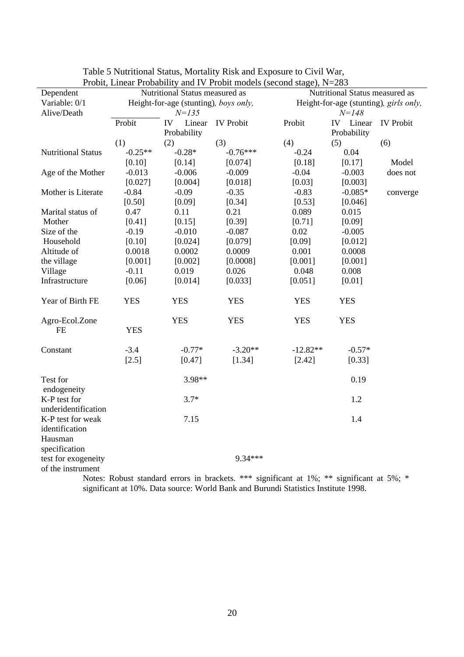| Probit, Linear Probability and Ly Probit models (second stage), $N=203$ |                                       |              |                                                                                                  |                                        |                                |                  |  |
|-------------------------------------------------------------------------|---------------------------------------|--------------|--------------------------------------------------------------------------------------------------|----------------------------------------|--------------------------------|------------------|--|
| Dependent                                                               | Nutritional Status measured as        |              |                                                                                                  |                                        | Nutritional Status measured as |                  |  |
| Variable: 0/1                                                           | Height-for-age (stunting), boys only, |              |                                                                                                  | Height-for-age (stunting), girls only, |                                |                  |  |
| Alive/Death                                                             | $N = 135$                             |              |                                                                                                  |                                        | $N = 148$                      |                  |  |
|                                                                         | Probit                                | IV<br>Linear | <b>IV</b> Probit                                                                                 | Probit                                 | IV Linear                      | <b>IV Probit</b> |  |
|                                                                         |                                       | Probability  |                                                                                                  |                                        | Probability                    |                  |  |
|                                                                         | (1)                                   | (2)          | (3)                                                                                              | (4)                                    | (5)                            | (6)              |  |
| <b>Nutritional Status</b>                                               | $-0.25**$                             | $-0.28*$     | $-0.76***$                                                                                       | $-0.24$                                | 0.04                           |                  |  |
|                                                                         | [0.10]                                | [0.14]       | [0.074]                                                                                          | [0.18]                                 | [0.17]                         | Model            |  |
| Age of the Mother                                                       | $-0.013$                              | $-0.006$     | $-0.009$                                                                                         | $-0.04$                                | $-0.003$                       | does not         |  |
|                                                                         | [0.027]                               | [0.004]      | [0.018]                                                                                          | [0.03]                                 | [0.003]                        |                  |  |
| Mother is Literate                                                      | $-0.84$                               | $-0.09$      | $-0.35$                                                                                          | $-0.83$                                | $-0.085*$                      | converge         |  |
|                                                                         | [0.50]                                | [0.09]       | [0.34]                                                                                           | [0.53]                                 | [0.046]                        |                  |  |
| Marital status of                                                       | 0.47                                  | 0.11         | 0.21                                                                                             | 0.089                                  | 0.015                          |                  |  |
| Mother                                                                  | [0.41]                                | [0.15]       | [0.39]                                                                                           | [0.71]                                 | [0.09]                         |                  |  |
| Size of the                                                             | $-0.19$                               | $-0.010$     | $-0.087$                                                                                         | 0.02                                   | $-0.005$                       |                  |  |
| Household                                                               | [0.10]                                | [0.024]      | [0.079]                                                                                          | [0.09]                                 | [0.012]                        |                  |  |
| Altitude of                                                             | 0.0018                                | 0.0002       | 0.0009                                                                                           | 0.001                                  | 0.0008                         |                  |  |
| the village                                                             | [0.001]                               | [0.002]      | [0.0008]                                                                                         | [0.001]                                | [0.001]                        |                  |  |
| Village                                                                 | $-0.11$                               | 0.019        | 0.026                                                                                            | 0.048                                  | 0.008                          |                  |  |
| Infrastructure                                                          | [0.06]                                | [0.014]      | [0.033]                                                                                          | [0.051]                                | [0.01]                         |                  |  |
|                                                                         |                                       |              |                                                                                                  |                                        |                                |                  |  |
| Year of Birth FE                                                        | <b>YES</b>                            | <b>YES</b>   | <b>YES</b>                                                                                       | <b>YES</b>                             | <b>YES</b>                     |                  |  |
| Agro-Ecol.Zone                                                          |                                       | <b>YES</b>   | <b>YES</b>                                                                                       | <b>YES</b>                             | <b>YES</b>                     |                  |  |
| <b>FE</b>                                                               | <b>YES</b>                            |              |                                                                                                  |                                        |                                |                  |  |
|                                                                         |                                       |              |                                                                                                  |                                        |                                |                  |  |
| Constant                                                                | $-3.4$                                | $-0.77*$     | $-3.20**$                                                                                        | $-12.82**$                             | $-0.57*$                       |                  |  |
|                                                                         | [2.5]                                 | [0.47]       | [1.34]                                                                                           | [2.42]                                 | [0.33]                         |                  |  |
|                                                                         |                                       |              |                                                                                                  |                                        |                                |                  |  |
| Test for                                                                |                                       | 3.98**       |                                                                                                  |                                        | 0.19                           |                  |  |
| endogeneity                                                             |                                       |              |                                                                                                  |                                        |                                |                  |  |
| K-P test for                                                            |                                       | $3.7*$       |                                                                                                  |                                        | 1.2                            |                  |  |
| underidentification                                                     |                                       |              |                                                                                                  |                                        |                                |                  |  |
| K-P test for weak                                                       |                                       | 7.15         |                                                                                                  |                                        | 1.4                            |                  |  |
| identification                                                          |                                       |              |                                                                                                  |                                        |                                |                  |  |
| Hausman                                                                 |                                       |              |                                                                                                  |                                        |                                |                  |  |
| specification                                                           |                                       |              |                                                                                                  |                                        |                                |                  |  |
| test for exogeneity                                                     |                                       |              | $9.34***$                                                                                        |                                        |                                |                  |  |
| of the instrument                                                       |                                       |              |                                                                                                  |                                        |                                |                  |  |
|                                                                         |                                       |              | Note: Polytet standard errors in broakate $***$ significant at $10\&$ ** significant at $50\&$ * |                                        |                                |                  |  |

Table 5 Nutritional Status, Mortality Risk and Exposure to Civil War, Probit, Linear Probability and IV Probit models (second stage), N=283

Notes: Robust standard errors in brackets. \*\*\* significant at 1%; \*\* significant at 5%; significant at 10%. Data source: World Bank and Burundi Statistics Institute 1998.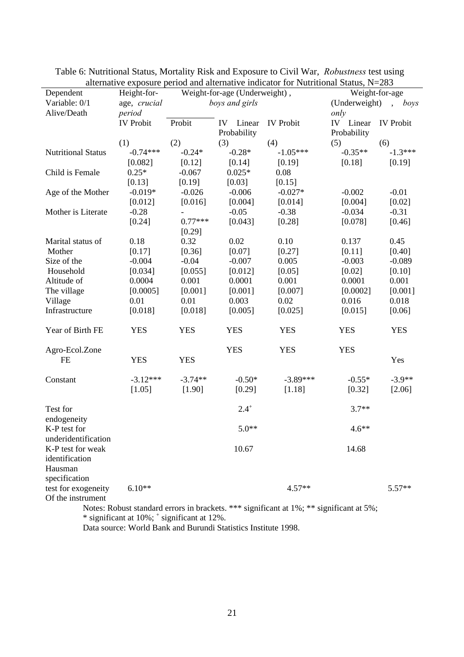| Dependent                                                       | Height-for-      |            | Weight-for-age (Underweight), |                  |               | Weight-for-age               |
|-----------------------------------------------------------------|------------------|------------|-------------------------------|------------------|---------------|------------------------------|
| Variable: 0/1                                                   | age, crucial     |            | boys and girls                |                  | (Underweight) | boys<br>$\ddot{\phantom{0}}$ |
| Alive/Death                                                     | period           |            |                               |                  | only          |                              |
|                                                                 | <b>IV Probit</b> | Probit     | IV<br>Linear                  | <b>IV Probit</b> | IV Linear     | <b>IV</b> Probit             |
|                                                                 |                  |            | Probability                   |                  | Probability   |                              |
|                                                                 | (1)              | (2)        | (3)                           | (4)              | (5)           | (6)                          |
| <b>Nutritional Status</b>                                       | $-0.74***$       | $-0.24*$   | $-0.28*$                      | $-1.05***$       | $-0.35**$     | $-1.3***$                    |
|                                                                 | [0.082]          | [0.12]     | [0.14]                        | [0.19]           | [0.18]        | [0.19]                       |
| Child is Female                                                 | $0.25*$          | $-0.067$   | $0.025*$                      | 0.08             |               |                              |
|                                                                 | [0.13]           | [0.19]     | [0.03]                        | [0.15]           |               |                              |
| Age of the Mother                                               | $-0.019*$        | $-0.026$   | $-0.006$                      | $-0.027*$        | $-0.002$      | $-0.01$                      |
|                                                                 | [0.012]          | [0.016]    | [0.004]                       | [0.014]          | [0.004]       | [0.02]                       |
| Mother is Literate                                              | $-0.28$          |            | $-0.05$                       | $-0.38$          | $-0.034$      | $-0.31$                      |
|                                                                 | [0.24]           | $0.77***$  | [0.043]                       | [0.28]           | [0.078]       | [0.46]                       |
|                                                                 |                  | [0.29]     |                               |                  |               |                              |
| Marital status of                                               | 0.18             | 0.32       | 0.02                          | 0.10             | 0.137         | 0.45                         |
| Mother                                                          | [0.17]           | [0.36]     | [0.07]                        | [0.27]           | [0.11]        | [0.40]                       |
| Size of the                                                     | $-0.004$         | $-0.04$    | $-0.007$                      | 0.005            | $-0.003$      | $-0.089$                     |
| Household                                                       | [0.034]          | [0.055]    | [0.012]                       | [0.05]           | [0.02]        | [0.10]                       |
| Altitude of                                                     | 0.0004           | 0.001      | 0.0001                        | 0.001            | 0.0001        | 0.001                        |
| The village                                                     | [0.0005]         | [0.001]    | [0.001]                       | [0.007]          | [0.0002]      | [0.001]                      |
| Village                                                         | 0.01             | 0.01       | 0.003                         | 0.02             | 0.016         | 0.018                        |
| Infrastructure                                                  | [0.018]          | [0.018]    | [0.005]                       | [0.025]          | [0.015]       | [0.06]                       |
| Year of Birth FE                                                | <b>YES</b>       | <b>YES</b> | <b>YES</b>                    | <b>YES</b>       | <b>YES</b>    | <b>YES</b>                   |
| Agro-Ecol.Zone                                                  |                  |            | <b>YES</b>                    | <b>YES</b>       | <b>YES</b>    |                              |
| <b>FE</b>                                                       | <b>YES</b>       | <b>YES</b> |                               |                  |               | Yes                          |
| Constant                                                        | $-3.12***$       | $-3.74**$  | $-0.50*$                      | $-3.89***$       | $-0.55*$      | $-3.9**$                     |
|                                                                 | [1.05]           | [1.90]     | [0.29]                        | [1.18]           | [0.32]        | [2.06]                       |
| Test for                                                        |                  |            | $2.4^{+}$                     |                  | $3.7**$       |                              |
| endogeneity<br>K-P test for<br>underidentification              |                  |            | $5.0**$                       |                  | $4.6**$       |                              |
| K-P test for weak<br>identification<br>Hausman<br>specification |                  |            | 10.67                         |                  | 14.68         |                              |
| test for exogeneity<br>Of the instrument                        | $6.10**$         |            |                               | $4.57**$         |               | $5.57**$                     |

Table 6: Nutritional Status, Mortality Risk and Exposure to Civil War, *Robustness* test using alternative exposure period and alternative indicator for Nutritional Status, N=283

Notes: Robust standard errors in brackets. \*\*\* significant at 1%; \*\* significant at 5%; \* significant at 10%; + significant at 12%.

Data source: World Bank and Burundi Statistics Institute 1998.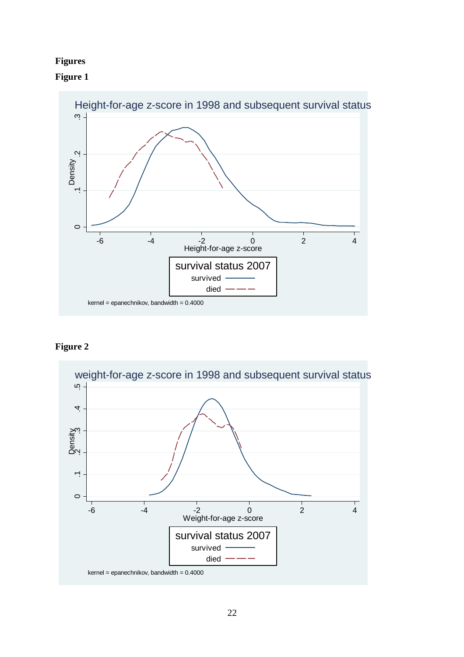# **Figures**





# **Figure 2**

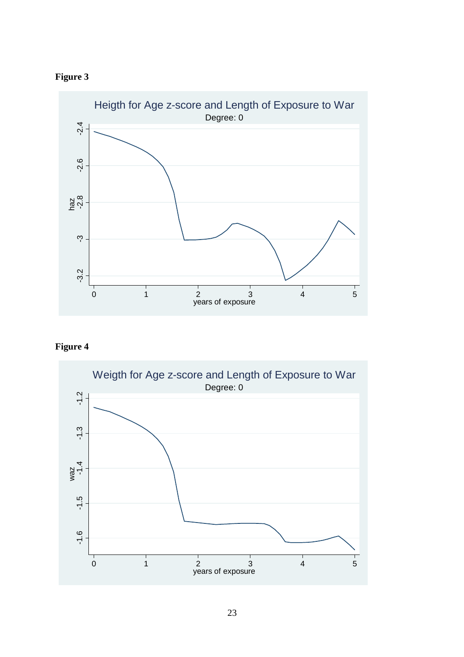





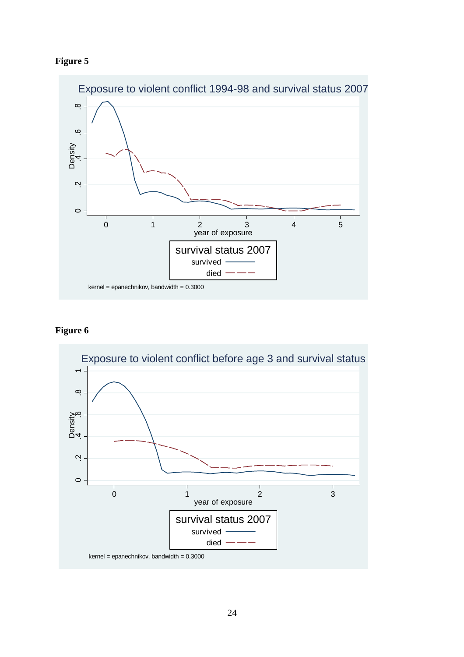



# **Figure 6**

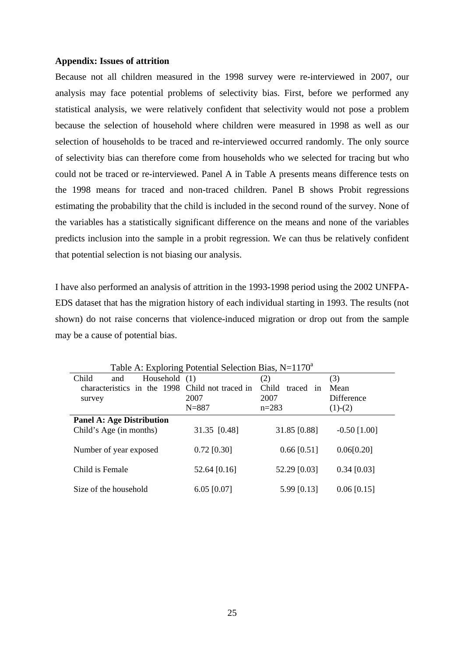### **Appendix: Issues of attrition**

Because not all children measured in the 1998 survey were re-interviewed in 2007, our analysis may face potential problems of selectivity bias. First, before we performed any statistical analysis, we were relatively confident that selectivity would not pose a problem because the selection of household where children were measured in 1998 as well as our selection of households to be traced and re-interviewed occurred randomly. The only source of selectivity bias can therefore come from households who we selected for tracing but who could not be traced or re-interviewed. Panel A in Table A presents means difference tests on the 1998 means for traced and non-traced children. Panel B shows Probit regressions estimating the probability that the child is included in the second round of the survey. None of the variables has a statistically significant difference on the means and none of the variables predicts inclusion into the sample in a probit regression. We can thus be relatively confident that potential selection is not biasing our analysis.

I have also performed an analysis of attrition in the 1993-1998 period using the 2002 UNFPA-EDS dataset that has the migration history of each individual starting in 1993. The results (not shown) do not raise concerns that violence-induced migration or drop out from the sample may be a cause of potential bias.

| Table A. Exploring Potential Selection Blas, $N=1170$ |               |                    |                |  |
|-------------------------------------------------------|---------------|--------------------|----------------|--|
| Child<br>Household (1)<br>and                         |               | (2)                | (3)            |  |
| characteristics in the 1998 Child not traced in       |               | Child<br>traced in | Mean           |  |
| survey                                                | 2007          | 2007               | Difference     |  |
|                                                       | $N = 887$     | $n = 283$          | $(1)-(2)$      |  |
| <b>Panel A: Age Distribution</b>                      |               |                    |                |  |
| Child's Age (in months)                               | 31.35 [0.48]  | 31.85 [0.88]       | $-0.50$ [1.00] |  |
|                                                       |               |                    |                |  |
| Number of year exposed                                | $0.72$ [0.30] | $0.66$ [0.51]      | 0.06[0.20]     |  |
|                                                       |               |                    |                |  |
| Child is Female                                       | 52.64 [0.16]  | 52.29 [0.03]       | $0.34$ [0.03]  |  |
| Size of the household                                 | $6.05$ [0.07] | 5.99 [0.13]        | $0.06$ [0.15]  |  |
|                                                       |               |                    |                |  |

 $T<sub>1</sub>$ , A: Exploring Potential Selection Bias, N=1170a